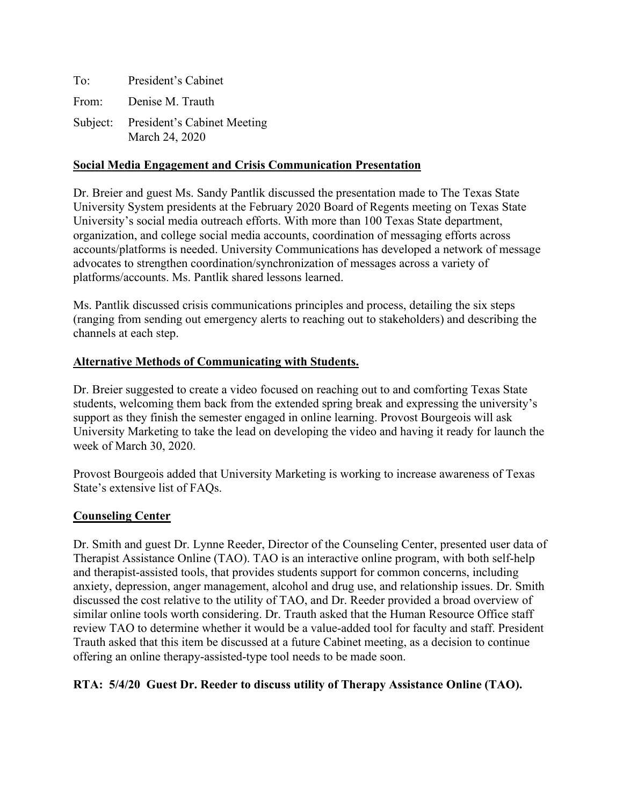To: President's Cabinet From: Denise M. Trauth Subject: President's Cabinet Meeting March 24, 2020

### **Social Media Engagement and Crisis Communication Presentation**

Dr. Breier and guest Ms. Sandy Pantlik discussed the presentation made to The Texas State University System presidents at the February 2020 Board of Regents meeting on Texas State University's social media outreach efforts. With more than 100 Texas State department, organization, and college social media accounts, coordination of messaging efforts across accounts/platforms is needed. University Communications has developed a network of message advocates to strengthen coordination/synchronization of messages across a variety of platforms/accounts. Ms. Pantlik shared lessons learned.

Ms. Pantlik discussed crisis communications principles and process, detailing the six steps (ranging from sending out emergency alerts to reaching out to stakeholders) and describing the channels at each step.

#### **Alternative Methods of Communicating with Students.**

Dr. Breier suggested to create a video focused on reaching out to and comforting Texas State students, welcoming them back from the extended spring break and expressing the university's support as they finish the semester engaged in online learning. Provost Bourgeois will ask University Marketing to take the lead on developing the video and having it ready for launch the week of March 30, 2020.

Provost Bourgeois added that University Marketing is working to increase awareness of Texas State's extensive list of FAQs.

#### **Counseling Center**

Dr. Smith and guest Dr. Lynne Reeder, Director of the Counseling Center, presented user data of Therapist Assistance Online (TAO). TAO is an interactive online program, with both self-help and therapist-assisted tools, that provides students support for common concerns, including anxiety, depression, anger management, alcohol and drug use, and relationship issues. Dr. Smith discussed the cost relative to the utility of TAO, and Dr. Reeder provided a broad overview of similar online tools worth considering. Dr. Trauth asked that the Human Resource Office staff review TAO to determine whether it would be a value-added tool for faculty and staff. President Trauth asked that this item be discussed at a future Cabinet meeting, as a decision to continue offering an online therapy-assisted-type tool needs to be made soon.

## **RTA: 5/4/20 Guest Dr. Reeder to discuss utility of Therapy Assistance Online (TAO).**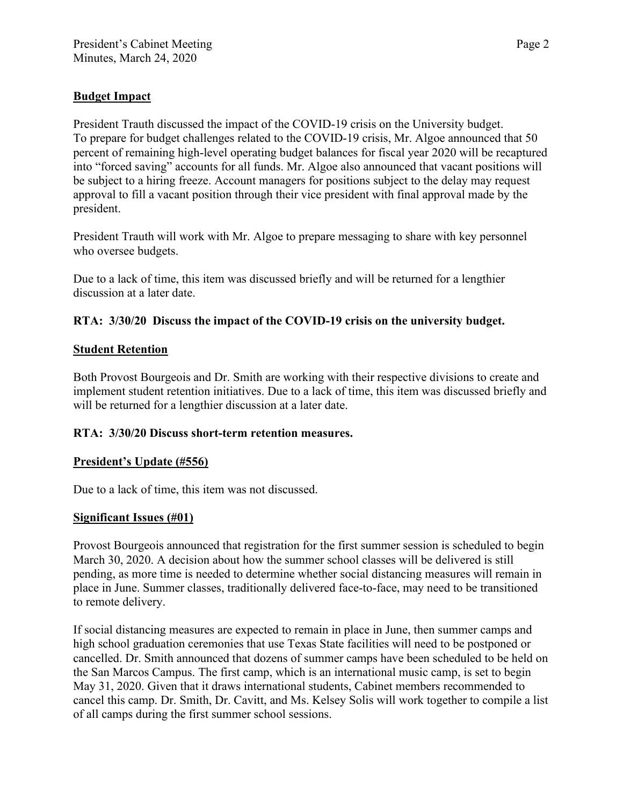# **Budget Impact**

President Trauth discussed the impact of the COVID-19 crisis on the University budget. To prepare for budget challenges related to the COVID-19 crisis, Mr. Algoe announced that 50 percent of remaining high-level operating budget balances for fiscal year 2020 will be recaptured into "forced saving" accounts for all funds. Mr. Algoe also announced that vacant positions will be subject to a hiring freeze. Account managers for positions subject to the delay may request approval to fill a vacant position through their vice president with final approval made by the president.

President Trauth will work with Mr. Algoe to prepare messaging to share with key personnel who oversee budgets.

Due to a lack of time, this item was discussed briefly and will be returned for a lengthier discussion at a later date.

## **RTA: 3/30/20 Discuss the impact of the COVID-19 crisis on the university budget.**

### **Student Retention**

Both Provost Bourgeois and Dr. Smith are working with their respective divisions to create and implement student retention initiatives. Due to a lack of time, this item was discussed briefly and will be returned for a lengthier discussion at a later date.

## **RTA: 3/30/20 Discuss short-term retention measures.**

#### **President's Update (#556)**

Due to a lack of time, this item was not discussed.

## **Significant Issues (#01)**

Provost Bourgeois announced that registration for the first summer session is scheduled to begin March 30, 2020. A decision about how the summer school classes will be delivered is still pending, as more time is needed to determine whether social distancing measures will remain in place in June. Summer classes, traditionally delivered face-to-face, may need to be transitioned to remote delivery.

If social distancing measures are expected to remain in place in June, then summer camps and high school graduation ceremonies that use Texas State facilities will need to be postponed or cancelled. Dr. Smith announced that dozens of summer camps have been scheduled to be held on the San Marcos Campus. The first camp, which is an international music camp, is set to begin May 31, 2020. Given that it draws international students, Cabinet members recommended to cancel this camp. Dr. Smith, Dr. Cavitt, and Ms. Kelsey Solis will work together to compile a list of all camps during the first summer school sessions.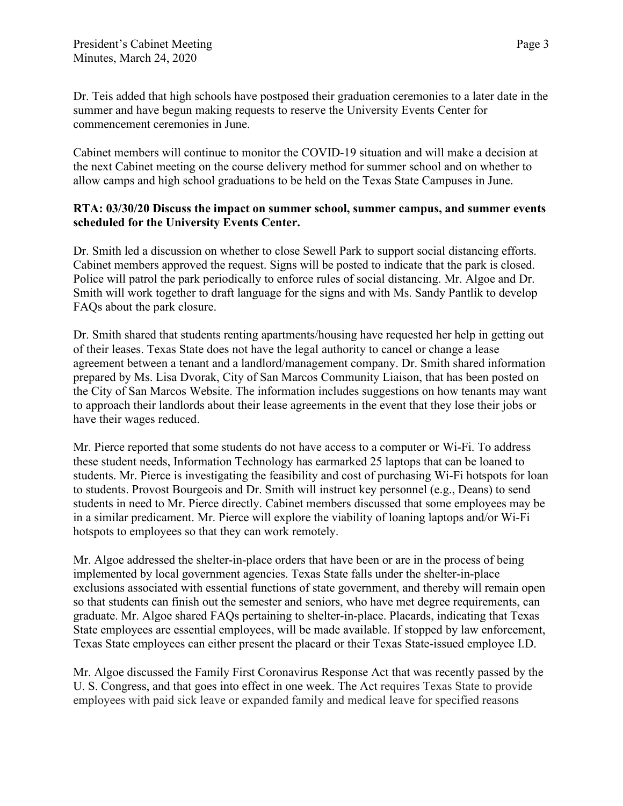Dr. Teis added that high schools have postposed their graduation ceremonies to a later date in the summer and have begun making requests to reserve the University Events Center for commencement ceremonies in June.

Cabinet members will continue to monitor the COVID-19 situation and will make a decision at the next Cabinet meeting on the course delivery method for summer school and on whether to allow camps and high school graduations to be held on the Texas State Campuses in June.

### **RTA: 03/30/20 Discuss the impact on summer school, summer campus, and summer events scheduled for the University Events Center.**

Dr. Smith led a discussion on whether to close Sewell Park to support social distancing efforts. Cabinet members approved the request. Signs will be posted to indicate that the park is closed. Police will patrol the park periodically to enforce rules of social distancing. Mr. Algoe and Dr. Smith will work together to draft language for the signs and with Ms. Sandy Pantlik to develop FAQs about the park closure.

Dr. Smith shared that students renting apartments/housing have requested her help in getting out of their leases. Texas State does not have the legal authority to cancel or change a lease agreement between a tenant and a landlord/management company. Dr. Smith shared information prepared by Ms. Lisa Dvorak, City of San Marcos Community Liaison, that has been posted on the City of San Marcos Website. The information includes suggestions on how tenants may want to approach their landlords about their lease agreements in the event that they lose their jobs or have their wages reduced.

Mr. Pierce reported that some students do not have access to a computer or Wi-Fi. To address these student needs, Information Technology has earmarked 25 laptops that can be loaned to students. Mr. Pierce is investigating the feasibility and cost of purchasing Wi-Fi hotspots for loan to students. Provost Bourgeois and Dr. Smith will instruct key personnel (e.g., Deans) to send students in need to Mr. Pierce directly. Cabinet members discussed that some employees may be in a similar predicament. Mr. Pierce will explore the viability of loaning laptops and/or Wi-Fi hotspots to employees so that they can work remotely.

Mr. Algoe addressed the shelter-in-place orders that have been or are in the process of being implemented by local government agencies. Texas State falls under the shelter-in-place exclusions associated with essential functions of state government, and thereby will remain open so that students can finish out the semester and seniors, who have met degree requirements, can graduate. Mr. Algoe shared FAQs pertaining to shelter-in-place. Placards, indicating that Texas State employees are essential employees, will be made available. If stopped by law enforcement, Texas State employees can either present the placard or their Texas State-issued employee I.D.

Mr. Algoe discussed the Family First Coronavirus Response Act that was recently passed by the U. S. Congress, and that goes into effect in one week. The Act requires Texas State to provide employees with paid sick leave or expanded family and medical leave for specified reasons